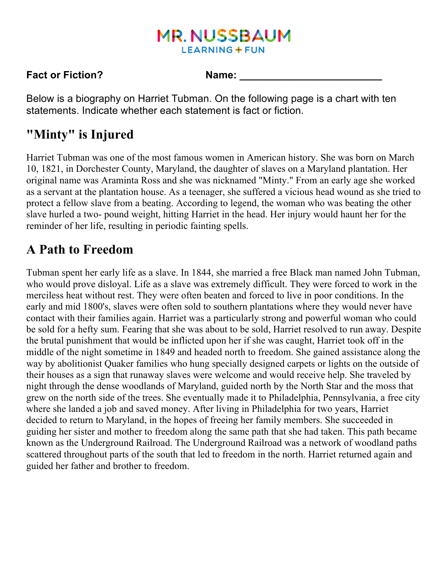# **MR. NUSSBAUM LEARNING + FUN**

#### **Fact or Fiction?** Name:

Below is a biography on Harriet Tubman. On the following page is a chart with ten statements. Indicate whether each statement is fact or fiction.

# **"Minty" is Injured**

Harriet Tubman was one of the most famous women in American history. She was born on March 10, 1821, in Dorchester County, Maryland, the daughter of slaves on a Maryland plantation. Her original name was Araminta Ross and she was nicknamed "Minty." From an early age she worked as a servant at the plantation house. As a teenager, she suffered a vicious head wound as she tried to protect a fellow slave from a beating. According to legend, the woman who was beating the other slave hurled a two- pound weight, hitting Harriet in the head. Her injury would haunt her for the reminder of her life, resulting in periodic fainting spells.

# **A Path to Freedom**

Tubman spent her early life as a slave. In 1844, she married a free Black man named John Tubman, who would prove disloyal. Life as a slave was extremely difficult. They were forced to work in the merciless heat without rest. They were often beaten and forced to live in poor conditions. In the early and mid 1800's, slaves were often sold to southern plantations where they would never have contact with their families again. Harriet was a particularly strong and powerful woman who could be sold for a hefty sum. Fearing that she was about to be sold, Harriet resolved to run away. Despite the brutal punishment that would be inflicted upon her if she was caught, Harriet took off in the middle of the night sometime in 1849 and headed north to freedom. She gained assistance along the way by abolitionist Quaker families who hung specially designed carpets or lights on the outside of their houses as a sign that runaway slaves were welcome and would receive help. She traveled by night through the dense woodlands of Maryland, guided north by the North Star and the moss that grew on the north side of the trees. She eventually made it to Philadelphia, Pennsylvania, a free city where she landed a job and saved money. After living in Philadelphia for two years, Harriet decided to return to Maryland, in the hopes of freeing her family members. She succeeded in guiding her sister and mother to freedom along the same path that she had taken. This path became known as the Underground Railroad. The Underground Railroad was a network of woodland paths scattered throughout parts of the south that led to freedom in the north. Harriet returned again and guided her father and brother to freedom.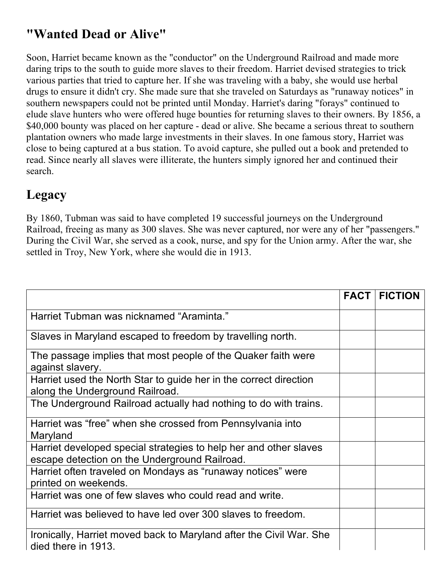# **"Wanted Dead or Alive"**

Soon, Harriet became known as the "conductor" on the Underground Railroad and made more daring trips to the south to guide more slaves to their freedom. Harriet devised strategies to trick various parties that tried to capture her. If she was traveling with a baby, she would use herbal drugs to ensure it didn't cry. She made sure that she traveled on Saturdays as "runaway notices" in southern newspapers could not be printed until Monday. Harriet's daring "forays" continued to elude slave hunters who were offered huge bounties for returning slaves to their owners. By 1856, a \$40,000 bounty was placed on her capture - dead or alive. She became a serious threat to southern plantation owners who made large investments in their slaves. In one famous story, Harriet was close to being captured at a bus station. To avoid capture, she pulled out a book and pretended to read. Since nearly all slaves were illiterate, the hunters simply ignored her and continued their search.

#### **Legacy**

By 1860, Tubman was said to have completed 19 successful journeys on the Underground Railroad, freeing as many as 300 slaves. She was never captured, nor were any of her "passengers." During the Civil War, she served as a cook, nurse, and spy for the Union army. After the war, she settled in Troy, New York, where she would die in 1913.

|                                                                                                                    | <b>FACT</b> | <b>FICTION</b> |
|--------------------------------------------------------------------------------------------------------------------|-------------|----------------|
| Harriet Tubman was nicknamed "Araminta."                                                                           |             |                |
| Slaves in Maryland escaped to freedom by travelling north.                                                         |             |                |
| The passage implies that most people of the Quaker faith were<br>against slavery.                                  |             |                |
| Harriet used the North Star to guide her in the correct direction<br>along the Underground Railroad.               |             |                |
| The Underground Railroad actually had nothing to do with trains.                                                   |             |                |
| Harriet was "free" when she crossed from Pennsylvania into<br>Maryland                                             |             |                |
| Harriet developed special strategies to help her and other slaves<br>escape detection on the Underground Railroad. |             |                |
| Harriet often traveled on Mondays as "runaway notices" were<br>printed on weekends.                                |             |                |
| Harriet was one of few slaves who could read and write.                                                            |             |                |
| Harriet was believed to have led over 300 slaves to freedom.                                                       |             |                |
| Ironically, Harriet moved back to Maryland after the Civil War. She<br>died there in 1913.                         |             |                |